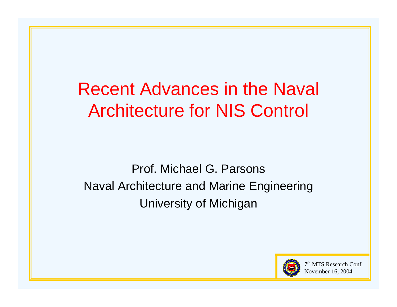# Recent Advances in the Naval Architecture for NIS Control

Prof. Michael G. Parsons Naval Architecture and Marine Engineering University of Michigan

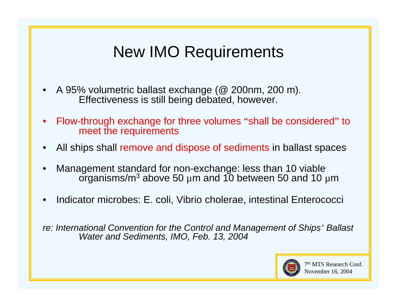### New IMO Requirements

- •A 95% volumetric ballast exchange (@ 200nm, 200 m). Effectiveness is still being debated, however.
- • Flow-through exchange for three volumes "shall be considered  $"$  to  $"$ meet the requirements
- •All ships shall remove and dispose of sediments in ballast spaces
- • Mana gement standard for non-exchan agement standard for non-exchange: less than 10 viable<br>organisms/m<sup>3</sup> above 50 μm and 10 between 50 and 10 μ  $^3$  above 50  $\mu$ m and 10 between 50 and 10  $\mu$ m
- •Indicator microbes: E. coli, Vibrio cholerae, intestinal Enterococci

*re: International Convention for the Control and Management of Ships' Ballast Water and Sediments, IMO, Feb. 13, 2004*

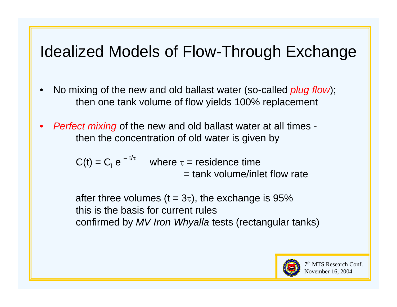### Idealized Models of Flow-Through Exchange

- •No mixing of the new and old ballast water (so-called *plug flow*); then one tank volume of flow yields 100% replacement
- $\bullet$  *Perfect mixing* of the new and old ballast water at all times then the concentration of <u>old</u> water is given by

 $C(t) = C_i e^{-t/\tau}$  where  $\tau$  = residence time = tank volume/inlet flow rate

after three volumes (t = 3 $\tau$ ), the exchange is 95% this is the basis for current rules confirmed by *MV Iron Whyalla* tests (rectangular tanks)

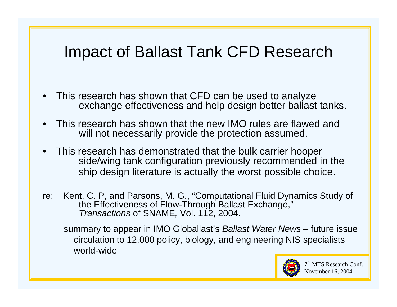### Impact of Ballast Tank CFD Research

- • This research has shown that CFD can be used to analyze exchange effectiveness and help design better ballast tanks.
- • This research has shown that the new IMO rules are flawed and will not necessarily provide the protection assumed.
- • This research has demonstrated that the bulk carrier hooper side/wing tank configuration previously recommended in the ship design literature is actually the worst possible choice.
- re: Kent, C. P, and Parsons, M. G., "Computational Fluid Dynamics Study of the Effectiveness of Flow-Through Ballast Exchange," *Transactions* of SNAME, Vol. 112, 2004.

summary to appear in IMO Globallast's *Ballast Water News* – future issue circulation to 12,000 policy, biology, and engineering NIS specialists world wide world-wide

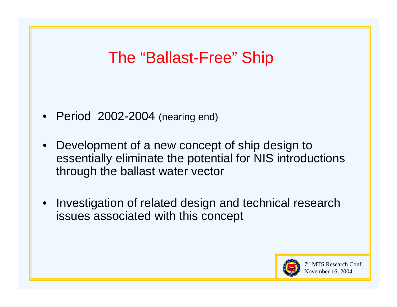### The "Ballast-Free" Ship

- •Period 2002-2004 (nearing end)
- • Development of a new concept of ship design to essentially eliminate the potential for NIS introductions through the ballast water vector
- • Investigation of related design and technical research issues associated with this concept

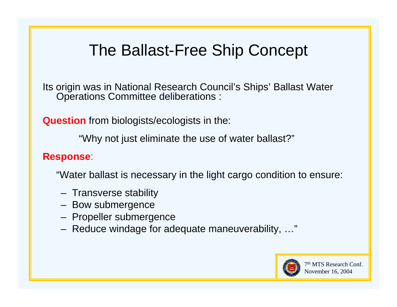### The Ballast-Free Ship Concept

Its origin was in National Research Council's Ships' Ballast Water Operations Committee deliberations :

**Question** from biologists/ecologists in the:

"Why not just eliminate the use of water ballast?"

### **Response**:

"Water ballast is necessary in the light cargo condition to ensure:

- Transverse stability
- Bow submergence
- Propeller submergence
- Reduce windage for adequate maneuverability, …"

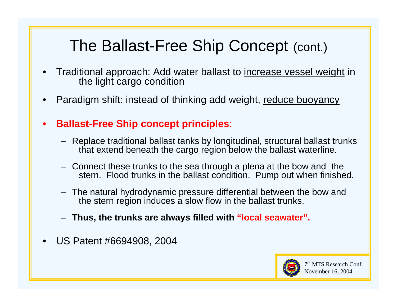## The Ballast-Free Ship Concept (cont.)

- • Traditional approach: Add water ballast to increase vessel weight in the light cargo condition
- •Paradigm shift: instead of thinking add weight, reduce buoyancy
- • **Ballast-Free Ship concept principles**:
	- Replace traditional ballast tanks by longitudinal, structural ballast trunks that extend beneath the cargo region below the ballast waterline.
	- Connect these trunks to the sea through a plena at the bow and the Connect these trunks to the sea through a plena at the bow and the<br>stern. Flood trunks in the ballast condition. Pump out when finished.
	- – The natural hydrodynamic pressure differential between the bow and the stern region induces a slow flow in the ballast trunks.
	- **Thus, the trunks are always filled with "local seawater".**
- •US Patent #6694908, 2004

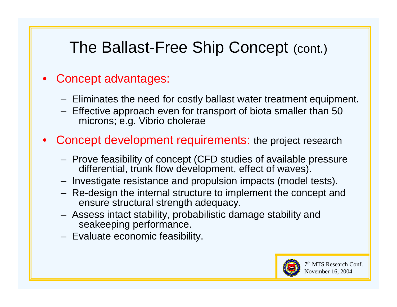### The Ballast-Free Ship Concept (cont.)

#### •Concept advantages:

- Eliminates the need for costly ballast water treatment equipment.
- Effective approach even for transport of biota smaller than 50 microns; e.g. Vibrio cholerae
- • Concept development requirements: the project research
	- Prove feasibility of concept (CFD studies of available pressure differential, trunk flow development, effect of waves).
	- Investigate resistance and propulsion impacts (model tests).
	- Re-design the internal structure to implement the concept and ensure structural strength adequacy.
	- Assess intact stability, probabilistic damage stability and seakeeping performance.
	- Evaluate economic feasibility.

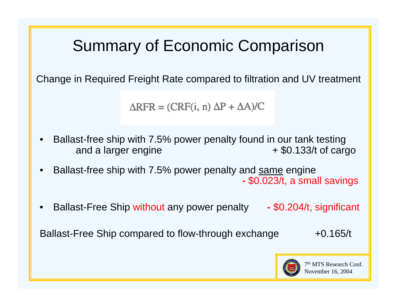### Summary of Economic Comparison

Change in Required Freight Rate compared to filtration and UV treatment

 $\Delta$ RFR = (CRF(i, n)  $\Delta$ P +  $\Delta$ A)/C

- • Ballast-free ship with 7.5% power penalty found in our tank testing and a larger engine  $+$  \$0.133/t of cargo
- •• Ballast-free ship with 7.5% power penalty and <u>same</u> engine \$0.023/t, a small savings
- •Ballast-Free Ship without any power penalty - \$0.204/t, significant

Ballast-Free Ship compared to flow-through exchange  $+0.165/t$